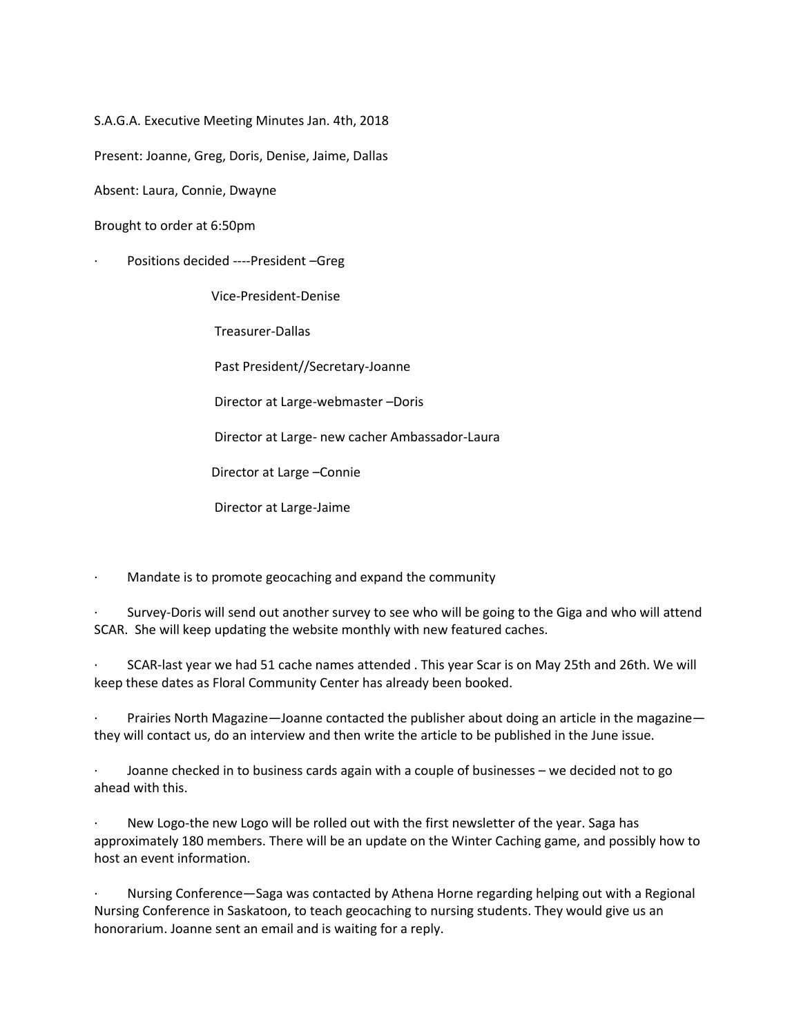S.A.G.A. Executive Meeting Minutes Jan. 4th, 2018

Present: Joanne, Greg, Doris, Denise, Jaime, Dallas

Absent: Laura, Connie, Dwayne

Brought to order at 6:50pm

Positions decided ----President --Greg

Vice-President-Denise

Treasurer-Dallas

Past President//Secretary-Joanne

Director at Large-webmaster –Doris

Director at Large- new cacher Ambassador-Laura

Director at Large –Connie

Director at Large-Jaime

Mandate is to promote geocaching and expand the community

Survey-Doris will send out another survey to see who will be going to the Giga and who will attend SCAR. She will keep updating the website monthly with new featured caches.

· SCAR-last year we had 51 cache names attended . This year Scar is on May 25th and 26th. We will keep these dates as Floral Community Center has already been booked.

Prairies North Magazine—Joanne contacted the publisher about doing an article in the magazine they will contact us, do an interview and then write the article to be published in the June issue.

· Joanne checked in to business cards again with a couple of businesses – we decided not to go ahead with this.

New Logo-the new Logo will be rolled out with the first newsletter of the year. Saga has approximately 180 members. There will be an update on the Winter Caching game, and possibly how to host an event information.

· Nursing Conference—Saga was contacted by Athena Horne regarding helping out with a Regional Nursing Conference in Saskatoon, to teach geocaching to nursing students. They would give us an honorarium. Joanne sent an email and is waiting for a reply.